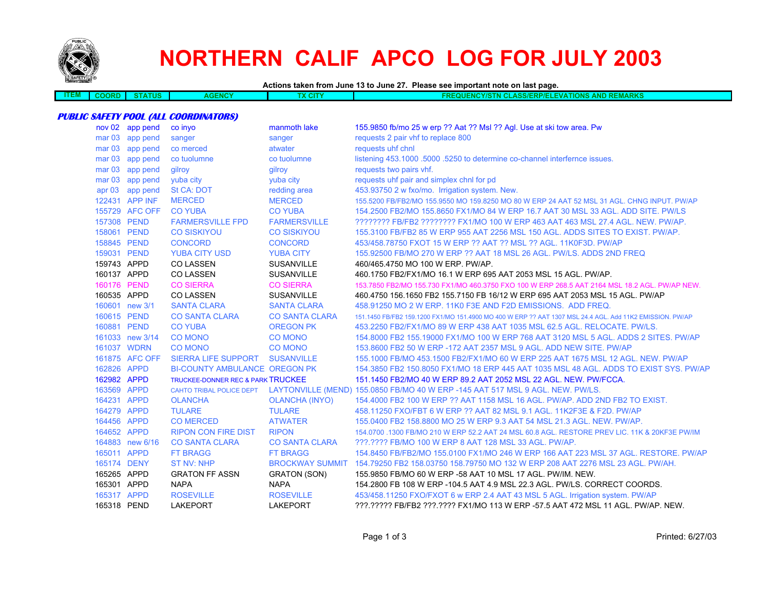

# **NORTHERN CALIF APCO LOG FOR JULY 2003**

#### **Actions taken from June 13 to June 27. Please see important note on last page.**

| ___<br>– M | юкв | un | <b>PENCY</b> | <b>CONSTRUCTION</b><br>un | <b>CARA PARKS</b><br><b>IONS</b><br>וווכ<br>мг<br>אוכו<br>NM<br>=vr<br><b>MA</b><br>$-1$ $-1$<br>. .<br>$\sim$ $\sim$ $\prime$ $\sim$<br>7 C<br>w<br>$\cdots$<br>- |
|------------|-----|----|--------------|---------------------------|--------------------------------------------------------------------------------------------------------------------------------------------------------------------|
|            |     |    |              |                           |                                                                                                                                                                    |

#### **PUBLIC SAFETY POOL (ALL COORDINATORS)**

|             | nov 02 app pend | co inyo                                      | manmoth lake          | 155.9850 fb/mo 25 w erp ?? Aat ?? Msl ?? Agl. Use at ski tow area. Pw                                    |
|-------------|-----------------|----------------------------------------------|-----------------------|----------------------------------------------------------------------------------------------------------|
|             | mar 03 app pend | sanger                                       | sanger                | requests 2 pair vhf to replace 800                                                                       |
|             | mar 03 app pend | co merced                                    | atwater               | requests uhf chnl                                                                                        |
|             | mar 03 app pend | co tuolumne                                  | co tuolumne           | listening 453.1000 .5000 .5250 to determine co-channel interfernce issues.                               |
|             | mar 03 app pend | ailrov                                       | qilroy                | requests two pairs vhf.                                                                                  |
|             | mar 03 app pend | yuba city                                    | yuba city             | requests uhf pair and simplex chnl for pd                                                                |
|             | apr 03 app pend | <b>St CA: DOT</b>                            | redding area          | 453.93750 2 w fxo/mo. Irrigation system. New.                                                            |
|             | 122431 APP INF  | <b>MERCED</b>                                | <b>MERCED</b>         | 155.5200 FB/FB2/MO 155.9550 MO 159.8250 MO 80 W ERP 24 AAT 52 MSL 31 AGL. CHNG INPUT. PW/AP              |
|             | 155729 AFC OFF  | <b>CO YUBA</b>                               | <b>CO YUBA</b>        | 154,2500 FB2/MO 155,8650 FX1/MO 84 W ERP 16.7 AAT 30 MSL 33 AGL, ADD SITE, PW/LS                         |
| 157308 PEND |                 | <b>FARMERSVILLE FPD</b>                      | <b>FARMERSVILLE</b>   | ???????? FB/FB2 ???????? FX1/MO 100 W ERP 463 AAT 463 MSL 27.4 AGL. NEW. PW/AP.                          |
| 158061 PEND |                 | <b>CO SISKIYOU</b>                           | <b>CO SISKIYOU</b>    | 155.3100 FB/FB2 85 W ERP 955 AAT 2256 MSL 150 AGL. ADDS SITES TO EXIST. PW/AP.                           |
| 158845 PEND |                 | <b>CONCORD</b>                               | <b>CONCORD</b>        | 453/458.78750 FXOT 15 W ERP ?? AAT ?? MSL ?? AGL, 11K0F3D, PW/AP                                         |
| 159031 PEND |                 | <b>YUBA CITY USD</b>                         | <b>YUBA CITY</b>      | 155,92500 FB/MO 270 W ERP ?? AAT 18 MSL 26 AGL, PW/LS, ADDS 2ND FREQ                                     |
| 159743 APPD |                 | <b>CO LASSEN</b>                             | <b>SUSANVILLE</b>     | 460/465 4750 MO 100 W ERP. PW/AP.                                                                        |
| 160137 APPD |                 | <b>CO LASSEN</b>                             | <b>SUSANVILLE</b>     | 460.1750 FB2/FX1/MO 16.1 W ERP 695 AAT 2053 MSL 15 AGL. PW/AP.                                           |
| 160176 PEND |                 | <b>CO SIERRA</b>                             | <b>CO SIERRA</b>      | 153.7850 FB2/MO 155.730 FX1/MO 460.3750 FXO 100 W ERP 268.5 AAT 2164 MSL 18.2 AGL. PW/AP NEW.            |
| 160535 APPD |                 | <b>CO LASSEN</b>                             | <b>SUSANVILLE</b>     | 460.4750 156.1650 FB2 155.7150 FB 16/12 W ERP 695 AAT 2053 MSL 15 AGL, PW/AP                             |
|             | 160601 new 3/1  | <b>SANTA CLARA</b>                           | <b>SANTA CLARA</b>    | 458,91250 MO 2 W ERP, 11K0 F3E AND F2D EMISSIONS. ADD FREQ.                                              |
| 160615 PEND |                 | <b>CO SANTA CLARA</b>                        | <b>CO SANTA CLARA</b> | 151.1450 FB/FB2 159.1200 FX1/MO 151.4900 MO 400 W ERP ?? AAT 1307 MSL 24.4 AGL, Add 11K2 EMISSION, PW/AP |
| 160881 PEND |                 | <b>CO YUBA</b>                               | <b>OREGON PK</b>      | 453.2250 FB2/FX1/MO 89 W ERP 438 AAT 1035 MSL 62.5 AGL, RELOCATE, PW/LS.                                 |
|             | 161033 new 3/14 | <b>CO MONO</b>                               | <b>CO MONO</b>        | 154.8000 FB2 155.19000 FX1/MO 100 W ERP 768 AAT 3120 MSL 5 AGL. ADDS 2 SITES. PW/AP                      |
| 161037 WDRN |                 | <b>CO MONO</b>                               | <b>CO MONO</b>        | 153.8600 FB2 50 W ERP -172 AAT 2357 MSL 9 AGL. ADD NEW SITE, PW/AP                                       |
|             | 161875 AFC OFF  | <b>SIERRA LIFE SUPPORT</b>                   | <b>SUSANVILLE</b>     | 155,1000 FB/MO 453,1500 FB2/FX1/MO 60 W ERP 225 AAT 1675 MSL 12 AGL, NEW, PW/AP                          |
| 162826 APPD |                 | <b>BI-COUNTY AMBULANCE OREGON PK</b>         |                       | 154,3850 FB2 150,8050 FX1/MO 18 ERP 445 AAT 1035 MSL 48 AGL. ADDS TO EXIST SYS, PW/AP                    |
| 162982 APPD |                 | <b>TRUCKEE-DONNER REC &amp; PARK TRUCKEE</b> |                       | 151.1450 FB2/MO 40 W ERP 89.2 AAT 2052 MSL 22 AGL, NEW, PW/FCCA.                                         |
| 163569 APPD |                 |                                              |                       | CAHTO TRIBAL POLICE DEPT LAYTONVILLE (MEND) 155.0850 FB/MO 40 W ERP -145 AAT 517 MSL 9 AGL. NEW. PW/LS.  |
| 164231 APPD |                 | <b>OLANCHA</b>                               | <b>OLANCHA (INYO)</b> | 154,4000 FB2 100 W ERP ?? AAT 1158 MSL 16 AGL, PW/AP, ADD 2ND FB2 TO EXIST.                              |
| 164279 APPD |                 | <b>TULARE</b>                                | <b>TULARE</b>         | 458.11250 FXO/FBT 6 W ERP ?? AAT 82 MSL 9.1 AGL. 11K2F3E & F2D. PW/AP                                    |
| 164456 APPD |                 | <b>CO MERCED</b>                             | <b>ATWATER</b>        | 155,0400 FB2 158,8800 MO 25 W ERP 9.3 AAT 54 MSL 21.3 AGL, NEW, PW/AP.                                   |
| 164652 APPD |                 | <b>RIPON CON FIRE DIST</b>                   | <b>RIPON</b>          | 154,0700 ,1300 FB/MO 210 W ERP 52.2 AAT 24 MSL 60.8 AGL, RESTORE PREV LIC, 11K & 20KF3E PW/IM            |
|             | 164883 new 6/16 | <b>CO SANTA CLARA</b>                        | <b>CO SANTA CLARA</b> | ???.???? FB/MO 100 W ERP 8 AAT 128 MSL 33 AGL. PW/AP.                                                    |
| 165011 APPD |                 | <b>FT BRAGG</b>                              | <b>FT BRAGG</b>       | 154,8450 FB/FB2/MO 155,0100 FX1/MO 246 W ERP 166 AAT 223 MSL 37 AGL, RESTORE, PW/AP                      |
| 165174 DENY |                 | <b>ST NV: NHP</b>                            |                       | BROCKWAY SUMMIT 154.79250 FB2 158.03750 158.79750 MO 132 W ERP 208 AAT 2276 MSL 23 AGL. PW/AH.           |
| 165265 APPD |                 | <b>GRATON FF ASSN</b>                        | <b>GRATON (SON)</b>   | 155,9850 FB/MO 60 W ERP -58 AAT 10 MSL 17 AGL, PW/IM, NEW.                                               |
| 165301 APPD |                 | <b>NAPA</b>                                  | <b>NAPA</b>           | 154,2800 FB 108 W ERP -104.5 AAT 4.9 MSL 22.3 AGL, PW/LS, CORRECT COORDS.                                |
| 165317 APPD |                 | <b>ROSEVILLE</b>                             | <b>ROSEVILLE</b>      | 453/458.11250 FXO/FXOT 6 w ERP 2.4 AAT 43 MSL 5 AGL. Irrigation system. PW/AP                            |
| 165318 PEND |                 | <b>LAKEPORT</b>                              | <b>LAKEPORT</b>       | ???.????? FB/FB2 ???.???? FX1/MO 113 W ERP -57.5 AAT 472 MSL 11 AGL. PW/AP. NEW.                         |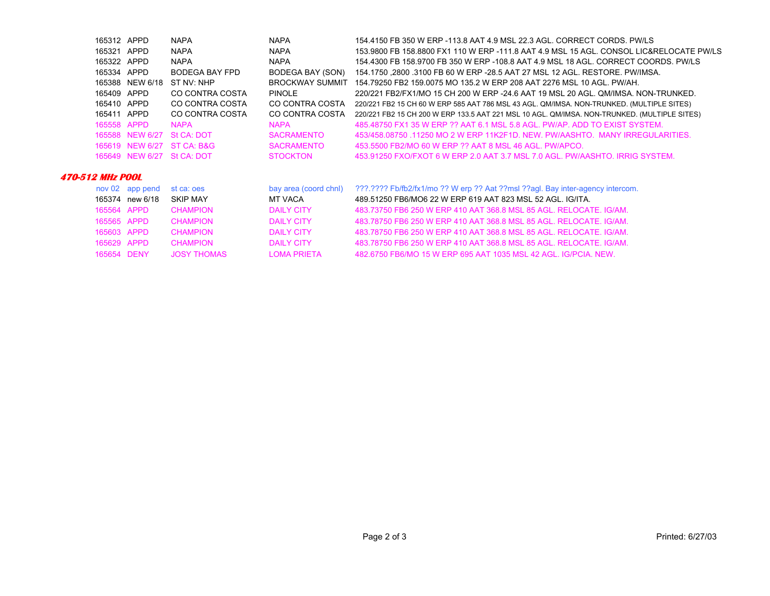| 165312 APPD               |                 | <b>NAPA</b>                | <b>NAPA</b>            | 154,4150 FB 350 W ERP -113.8 AAT 4.9 MSL 22.3 AGL. CORRECT CORDS. PW/LS                      |  |
|---------------------------|-----------------|----------------------------|------------------------|----------------------------------------------------------------------------------------------|--|
| 165321 APPD               |                 | <b>NAPA</b>                | <b>NAPA</b>            | 153,9800 FB 158,8800 FX1 110 W ERP -111.8 AAT 4.9 MSL 15 AGL, CONSOL LIC&RELOCATE PW/LS      |  |
| 165322 APPD               |                 | <b>NAPA</b>                | <b>NAPA</b>            | 154.4300 FB 158.9700 FB 350 W ERP -108.8 AAT 4.9 MSL 18 AGL. CORRECT COORDS. PW/LS           |  |
| 165334 APPD               |                 | BODEGA BAY FPD             | BODEGA BAY (SON)       | 154.1750 .2800 .3100 FB 60 W ERP -28.5 AAT 27 MSL 12 AGL. RESTORE. PW/IMSA.                  |  |
|                           | 165388 NEW 6/18 | ST NV: NHP                 | <b>BROCKWAY SUMMIT</b> | 154.79250 FB2 159.0075 MO 135.2 W ERP 208 AAT 2276 MSL 10 AGL. PW/AH.                        |  |
| 165409 APPD               |                 | CO CONTRA COSTA            | <b>PINOLE</b>          | 220/221 FB2/FX1/MO 15 CH 200 W ERP -24.6 AAT 19 MSL 20 AGL. QM/IMSA. NON-TRUNKED.            |  |
| 165410 APPD               |                 | CO CONTRA COSTA            | CO CONTRA COSTA        | 220/221 FB2 15 CH 60 W ERP 585 AAT 786 MSL 43 AGL. QM/IMSA. NON-TRUNKED. (MULTIPLE SITES)    |  |
| 165411 APPD               |                 | CO CONTRA COSTA            | CO CONTRA COSTA        | 220/221 FB2 15 CH 200 W ERP 133.5 AAT 221 MSL 10 AGL. QM/IMSA. NON-TRUNKED. (MULTIPLE SITES) |  |
| 165558 APPD               |                 | <b>NAPA</b>                | <b>NAPA</b>            | 485.48750 FX1 35 W ERP ?? AAT 6.1 MSL 5.8 AGL, PW/AP, ADD TO EXIST SYSTEM.                   |  |
|                           |                 | 165588 NEW 6/27 St CA: DOT | <b>SACRAMENTO</b>      | 453/458.08750 .11250 MO 2 W ERP 11K2F1D. NEW. PW/AASHTO. MANY IRREGULARITIES.                |  |
|                           |                 | 165619 NEW 6/27 ST CA: B&G | <b>SACRAMENTO</b>      | 453,5500 FB2/MO 60 W ERP ?? AAT 8 MSL 46 AGL, PW/APCO.                                       |  |
|                           |                 | 165649 NEW 6/27 St CA: DOT | <b>STOCKTON</b>        | 453.91250 FXO/FXOT 6 W ERP 2.0 AAT 3.7 MSL 7.0 AGL, PW/AASHTO, IRRIG SYSTEM.                 |  |
|                           |                 |                            |                        |                                                                                              |  |
| <i><b>12 MHz POOL</b></i> |                 |                            |                        |                                                                                              |  |

#### **470-51**

|             | nov 02 app pend | st ca: oes         | bay area (coord chnl) | ???.???? Fb/fb2/fx1/mo ?? W erp ?? Aat ??msl ??aql. Bay inter-agency intercom. |
|-------------|-----------------|--------------------|-----------------------|--------------------------------------------------------------------------------|
|             | 165374 new 6/18 | <b>SKIP MAY</b>    | MT VACA               | 489.51250 FB6/MO6 22 W ERP 619 AAT 823 MSL 52 AGL. IG/ITA.                     |
| 165564 APPD |                 | <b>CHAMPION</b>    | <b>DAILY CITY</b>     | 483.73750 FB6 250 W ERP 410 AAT 368.8 MSL 85 AGL. RELOCATE, IG/AM.             |
| 165565 APPD |                 | CHAMPION           | DAILY CITY            | 483.78750 FB6 250 W ERP 410 AAT 368.8 MSL 85 AGL, RELOCATE, IG/AM.             |
| 165603 APPD |                 | <b>CHAMPION</b>    | DAILY CITY            | 483.78750 FB6 250 W ERP 410 AAT 368.8 MSL 85 AGL. RELOCATE, IG/AM.             |
| 165629 APPD |                 | <b>CHAMPION</b>    | DAILY CITY            | 483.78750 FB6 250 W ERP 410 AAT 368.8 MSL 85 AGL. RELOCATE, IG/AM.             |
| 165654 DENY |                 | <b>JOSY THOMAS</b> | <b>LOMA PRIFTA</b>    | 482.6750 FB6/MO 15 W ERP 695 AAT 1035 MSL 42 AGL. IG/PCIA, NEW.                |